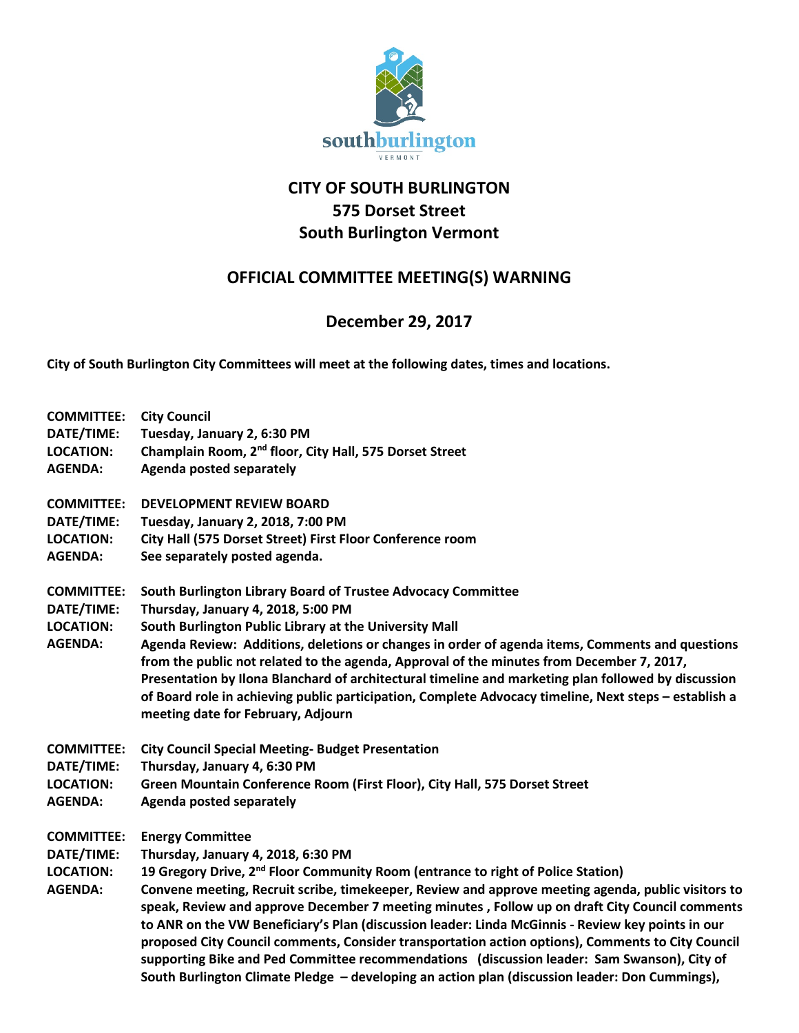

## **CITY OF SOUTH BURLINGTON 575 Dorset Street South Burlington Vermont**

## **OFFICIAL COMMITTEE MEETING(S) WARNING**

## **December 29, 2017**

**City of South Burlington City Committees will meet at the following dates, times and locations.** 

**COMMITTEE: City Council DATE/TIME: Tuesday, January 2, 6:30 PM LOCATION: Champlain Room, 2nd floor, City Hall, 575 Dorset Street AGENDA: Agenda posted separately COMMITTEE: DEVELOPMENT REVIEW BOARD DATE/TIME: Tuesday, January 2, 2018, 7:00 PM LOCATION: City Hall (575 Dorset Street) First Floor Conference room AGENDA: See separately posted agenda. COMMITTEE: South Burlington Library Board of Trustee Advocacy Committee DATE/TIME: Thursday, January 4, 2018, 5:00 PM LOCATION: South Burlington Public Library at the University Mall AGENDA: Agenda Review: Additions, deletions or changes in order of agenda items, Comments and questions from the public not related to the agenda, Approval of the minutes from December 7, 2017, Presentation by Ilona Blanchard of architectural timeline and marketing plan followed by discussion of Board role in achieving public participation, Complete Advocacy timeline, Next steps – establish a meeting date for February, Adjourn COMMITTEE: City Council Special Meeting- Budget Presentation DATE/TIME: Thursday, January 4, 6:30 PM LOCATION: Green Mountain Conference Room (First Floor), City Hall, 575 Dorset Street AGENDA: Agenda posted separately COMMITTEE: Energy Committee DATE/TIME: Thursday, January 4, 2018, 6:30 PM LOCATION: 19 Gregory Drive, 2nd Floor Community Room (entrance to right of Police Station) AGENDA: Convene meeting, Recruit scribe, timekeeper, Review and approve meeting agenda, public visitors to speak, Review and approve December 7 meeting minutes , Follow up on draft City Council comments to ANR on the VW Beneficiary's Plan (discussion leader: Linda McGinnis - Review key points in our proposed City Council comments, Consider transportation action options), Comments to City Council supporting Bike and Ped Committee recommendations (discussion leader: Sam Swanson), City of South Burlington Climate Pledge – developing an action plan (discussion leader: Don Cummings),**